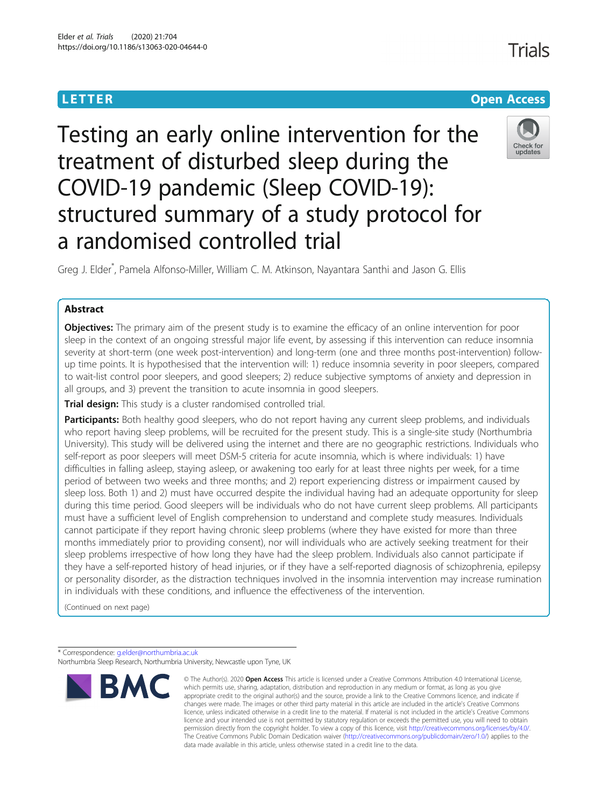# **LETTER CONSTRUCTION CONSTRUCTION**

# Testing an early online intervention for the treatment of disturbed sleep during the COVID-19 pandemic (Sleep COVID-19): structured summary of a study protocol for a randomised controlled trial

Greg J. Elder\* , Pamela Alfonso-Miller, William C. M. Atkinson, Nayantara Santhi and Jason G. Ellis

## Abstract

**Objectives:** The primary aim of the present study is to examine the efficacy of an online intervention for poor sleep in the context of an ongoing stressful major life event, by assessing if this intervention can reduce insomnia severity at short-term (one week post-intervention) and long-term (one and three months post-intervention) followup time points. It is hypothesised that the intervention will: 1) reduce insomnia severity in poor sleepers, compared to wait-list control poor sleepers, and good sleepers; 2) reduce subjective symptoms of anxiety and depression in all groups, and 3) prevent the transition to acute insomnia in good sleepers.

**Trial design:** This study is a cluster randomised controlled trial.

Participants: Both healthy good sleepers, who do not report having any current sleep problems, and individuals who report having sleep problems, will be recruited for the present study. This is a single-site study (Northumbria University). This study will be delivered using the internet and there are no geographic restrictions. Individuals who self-report as poor sleepers will meet DSM-5 criteria for acute insomnia, which is where individuals: 1) have difficulties in falling asleep, staying asleep, or awakening too early for at least three nights per week, for a time period of between two weeks and three months; and 2) report experiencing distress or impairment caused by sleep loss. Both 1) and 2) must have occurred despite the individual having had an adequate opportunity for sleep during this time period. Good sleepers will be individuals who do not have current sleep problems. All participants must have a sufficient level of English comprehension to understand and complete study measures. Individuals cannot participate if they report having chronic sleep problems (where they have existed for more than three months immediately prior to providing consent), nor will individuals who are actively seeking treatment for their sleep problems irrespective of how long they have had the sleep problem. Individuals also cannot participate if they have a self-reported history of head injuries, or if they have a self-reported diagnosis of schizophrenia, epilepsy or personality disorder, as the distraction techniques involved in the insomnia intervention may increase rumination in individuals with these conditions, and influence the effectiveness of the intervention.

(Continued on next page)

\* Correspondence: [g.elder@northumbria.ac.uk](mailto:g.elder@northumbria.ac.uk)

Northumbria Sleep Research, Northumbria University, Newcastle upon Tyne, UK



<sup>©</sup> The Author(s), 2020 **Open Access** This article is licensed under a Creative Commons Attribution 4.0 International License, which permits use, sharing, adaptation, distribution and reproduction in any medium or format, as long as you give appropriate credit to the original author(s) and the source, provide a link to the Creative Commons licence, and indicate if changes were made. The images or other third party material in this article are included in the article's Creative Commons licence, unless indicated otherwise in a credit line to the material. If material is not included in the article's Creative Commons licence and your intended use is not permitted by statutory regulation or exceeds the permitted use, you will need to obtain permission directly from the copyright holder. To view a copy of this licence, visit [http://creativecommons.org/licenses/by/4.0/.](http://creativecommons.org/licenses/by/4.0/) The Creative Commons Public Domain Dedication waiver [\(http://creativecommons.org/publicdomain/zero/1.0/](http://creativecommons.org/publicdomain/zero/1.0/)) applies to the data made available in this article, unless otherwise stated in a credit line to the data.



Check for undates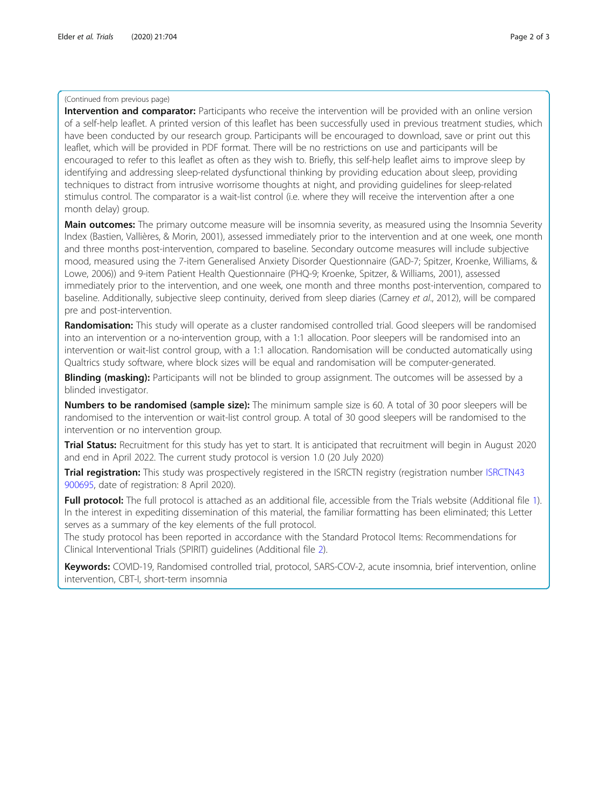### (Continued from previous page)

Intervention and comparator: Participants who receive the intervention will be provided with an online version of a self-help leaflet. A printed version of this leaflet has been successfully used in previous treatment studies, which have been conducted by our research group. Participants will be encouraged to download, save or print out this leaflet, which will be provided in PDF format. There will be no restrictions on use and participants will be encouraged to refer to this leaflet as often as they wish to. Briefly, this self-help leaflet aims to improve sleep by identifying and addressing sleep-related dysfunctional thinking by providing education about sleep, providing techniques to distract from intrusive worrisome thoughts at night, and providing guidelines for sleep-related stimulus control. The comparator is a wait-list control (i.e. where they will receive the intervention after a one month delay) group.

Main outcomes: The primary outcome measure will be insomnia severity, as measured using the Insomnia Severity Index (Bastien, Vallières, & Morin, 2001), assessed immediately prior to the intervention and at one week, one month and three months post-intervention, compared to baseline. Secondary outcome measures will include subjective mood, measured using the 7-item Generalised Anxiety Disorder Questionnaire (GAD-7; Spitzer, Kroenke, Williams, & Lowe, 2006)) and 9-item Patient Health Questionnaire (PHQ-9; Kroenke, Spitzer, & Williams, 2001), assessed immediately prior to the intervention, and one week, one month and three months post-intervention, compared to baseline. Additionally, subjective sleep continuity, derived from sleep diaries (Carney et al., 2012), will be compared pre and post-intervention.

Randomisation: This study will operate as a cluster randomised controlled trial. Good sleepers will be randomised into an intervention or a no-intervention group, with a 1:1 allocation. Poor sleepers will be randomised into an intervention or wait-list control group, with a 1:1 allocation. Randomisation will be conducted automatically using Qualtrics study software, where block sizes will be equal and randomisation will be computer-generated.

**Blinding (masking):** Participants will not be blinded to group assignment. The outcomes will be assessed by a blinded investigator.

Numbers to be randomised (sample size): The minimum sample size is 60. A total of 30 poor sleepers will be randomised to the intervention or wait-list control group. A total of 30 good sleepers will be randomised to the intervention or no intervention group.

Trial Status: Recruitment for this study has yet to start. It is anticipated that recruitment will begin in August 2020 and end in April 2022. The current study protocol is version 1.0 (20 July 2020)

Trial registration: This study was prospectively registered in the ISRCTN registry (registration number [ISRCTN43](http://www.isrctn.com/ISRCTN43900695) [900695,](http://www.isrctn.com/ISRCTN43900695) date of registration: 8 April 2020).

Full protocol: The full protocol is attached as an additional file, accessible from the Trials website (Additional file [1\)](#page-2-0). In the interest in expediting dissemination of this material, the familiar formatting has been eliminated; this Letter serves as a summary of the key elements of the full protocol.

The study protocol has been reported in accordance with the Standard Protocol Items: Recommendations for Clinical Interventional Trials (SPIRIT) guidelines (Additional file [2\)](#page-2-0).

Keywords: COVID-19, Randomised controlled trial, protocol, SARS-COV-2, acute insomnia, brief intervention, online intervention, CBT-I, short-term insomnia